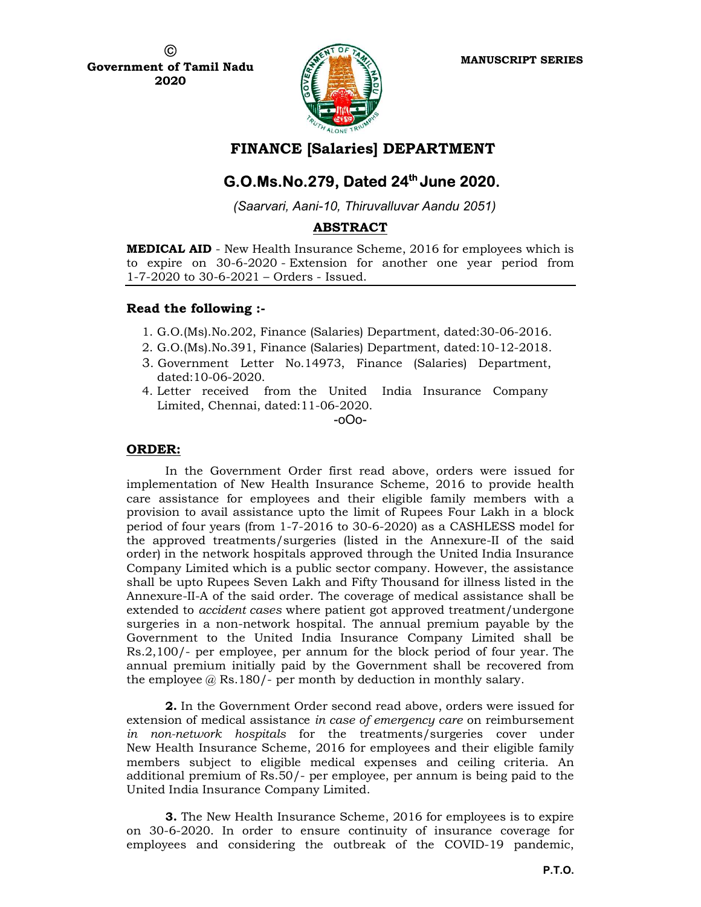

FINANCE [Salaries] DEPARTMENT

# $G. O.Ms.No.279, Dated 24<sup>th</sup> June 2020.$

(Saarvari, Aani-10, Thiruvalluvar Aandu 2051)

# ABSTRACT

MEDICAL AID - New Health Insurance Scheme, 2016 for employees which is to expire on 30-6-2020 - Extension for another one year period from 1-7-2020 to 30-6-2021 – Orders - Issued.

# Read the following :-

- 1. G.O.(Ms).No.202, Finance (Salaries) Department, dated:30-06-2016.
- 2. G.O.(Ms).No.391, Finance (Salaries) Department, dated:10-12-2018.
- 3. Government Letter No.14973, Finance (Salaries) Department, dated:10-06-2020.
- 4. Letter received from the United India Insurance Company Limited, Chennai, dated:11-06-2020.

-oOo-

# ORDER:

In the Government Order first read above, orders were issued for implementation of New Health Insurance Scheme, 2016 to provide health care assistance for employees and their eligible family members with a provision to avail assistance upto the limit of Rupees Four Lakh in a block period of four years (from 1-7-2016 to 30-6-2020) as a CASHLESS model for the approved treatments/surgeries (listed in the Annexure-II of the said order) in the network hospitals approved through the United India Insurance Company Limited which is a public sector company. However, the assistance shall be upto Rupees Seven Lakh and Fifty Thousand for illness listed in the Annexure-II-A of the said order. The coverage of medical assistance shall be extended to accident cases where patient got approved treatment/undergone surgeries in a non-network hospital. The annual premium payable by the Government to the United India Insurance Company Limited shall be Rs.2,100/- per employee, per annum for the block period of four year. The annual premium initially paid by the Government shall be recovered from the employee  $@$  Rs.180/- per month by deduction in monthly salary.

2. In the Government Order second read above, orders were issued for extension of medical assistance in case of emergency care on reimbursement in non-network hospitals for the treatments/surgeries cover under New Health Insurance Scheme, 2016 for employees and their eligible family members subject to eligible medical expenses and ceiling criteria. An additional premium of Rs.50/- per employee, per annum is being paid to the United India Insurance Company Limited.

**3.** The New Health Insurance Scheme, 2016 for employees is to expire on 30-6-2020. In order to ensure continuity of insurance coverage for employees and considering the outbreak of the COVID-19 pandemic,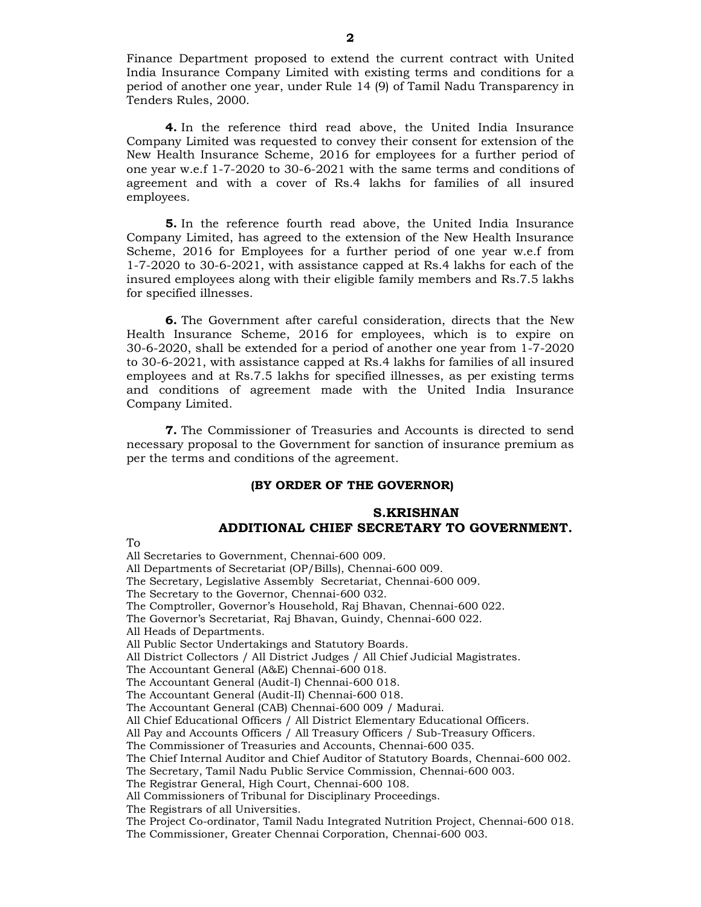Finance Department proposed to extend the current contract with United India Insurance Company Limited with existing terms and conditions for a period of another one year, under Rule 14 (9) of Tamil Nadu Transparency in Tenders Rules, 2000.

4. In the reference third read above, the United India Insurance Company Limited was requested to convey their consent for extension of the New Health Insurance Scheme, 2016 for employees for a further period of one year w.e.f 1-7-2020 to 30-6-2021 with the same terms and conditions of agreement and with a cover of Rs.4 lakhs for families of all insured employees.

5. In the reference fourth read above, the United India Insurance Company Limited, has agreed to the extension of the New Health Insurance Scheme, 2016 for Employees for a further period of one year w.e.f from 1-7-2020 to 30-6-2021, with assistance capped at Rs.4 lakhs for each of the insured employees along with their eligible family members and Rs.7.5 lakhs for specified illnesses.

6. The Government after careful consideration, directs that the New Health Insurance Scheme, 2016 for employees, which is to expire on 30-6-2020, shall be extended for a period of another one year from 1-7-2020 to 30-6-2021, with assistance capped at Rs.4 lakhs for families of all insured employees and at Rs.7.5 lakhs for specified illnesses, as per existing terms and conditions of agreement made with the United India Insurance Company Limited.

7. The Commissioner of Treasuries and Accounts is directed to send necessary proposal to the Government for sanction of insurance premium as per the terms and conditions of the agreement.

#### (BY ORDER OF THE GOVERNOR)

### S.KRISHNAN ADDITIONAL CHIEF SECRETARY TO GOVERNMENT.

To

All Secretaries to Government, Chennai-600 009.

All Departments of Secretariat (OP/Bills), Chennai-600 009.

The Secretary, Legislative Assembly Secretariat, Chennai-600 009.

The Secretary to the Governor, Chennai-600 032.

The Comptroller, Governor's Household, Raj Bhavan, Chennai-600 022.

The Governor's Secretariat, Raj Bhavan, Guindy, Chennai-600 022.

All Heads of Departments.

All Public Sector Undertakings and Statutory Boards.

All District Collectors / All District Judges / All Chief Judicial Magistrates.

The Accountant General (A&E) Chennai-600 018.

The Accountant General (Audit-I) Chennai-600 018.

The Accountant General (Audit-II) Chennai-600 018.

The Accountant General (CAB) Chennai-600 009 / Madurai.

All Chief Educational Officers / All District Elementary Educational Officers.

All Pay and Accounts Officers / All Treasury Officers / Sub-Treasury Officers.

The Commissioner of Treasuries and Accounts, Chennai-600 035.

The Chief Internal Auditor and Chief Auditor of Statutory Boards, Chennai-600 002.

The Secretary, Tamil Nadu Public Service Commission, Chennai-600 003.

The Registrar General, High Court, Chennai-600 108.

All Commissioners of Tribunal for Disciplinary Proceedings.

The Registrars of all Universities.

The Project Co-ordinator, Tamil Nadu Integrated Nutrition Project, Chennai-600 018. The Commissioner, Greater Chennai Corporation, Chennai-600 003.